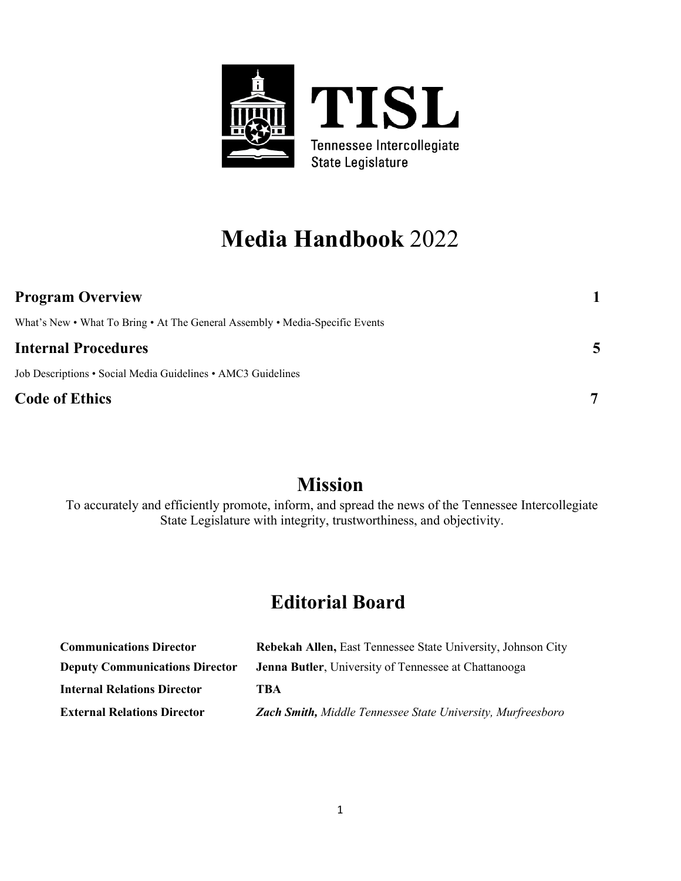

# **Media Handbook** 2022

| <b>Program Overview</b>                                                      |                |
|------------------------------------------------------------------------------|----------------|
| What's New • What To Bring • At The General Assembly • Media-Specific Events |                |
| <b>Internal Procedures</b>                                                   | $\overline{5}$ |
| Job Descriptions • Social Media Guidelines • AMC3 Guidelines                 |                |
| <b>Code of Ethics</b>                                                        |                |

# **Mission**

To accurately and efficiently promote, inform, and spread the news of the Tennessee Intercollegiate State Legislature with integrity, trustworthiness, and objectivity.

# **Editorial Board**

| <b>Communications Director</b>        | Rebekah Allen, East Tennessee State University, Johnson City |
|---------------------------------------|--------------------------------------------------------------|
| <b>Deputy Communications Director</b> | <b>Jenna Butler</b> , University of Tennessee at Chattanooga |
| <b>Internal Relations Director</b>    | TBA                                                          |
| <b>External Relations Director</b>    | Zach Smith, Middle Tennessee State University, Murfreesboro  |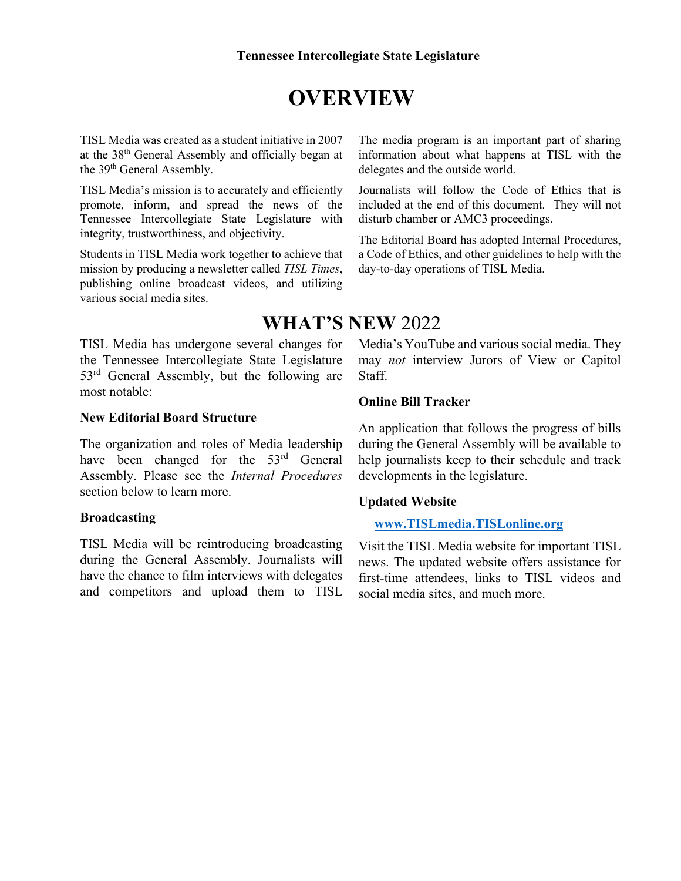# **OVERVIEW**

TISL Media was created as a student initiative in 2007 at the 38th General Assembly and officially began at the 39<sup>th</sup> General Assembly.

TISL Media's mission is to accurately and efficiently promote, inform, and spread the news of the Tennessee Intercollegiate State Legislature with integrity, trustworthiness, and objectivity.

Students in TISL Media work together to achieve that mission by producing a newsletter called *TISL Times*, publishing online broadcast videos, and utilizing various social media sites.

TISL Media has undergone several changes for the Tennessee Intercollegiate State Legislature 53<sup>rd</sup> General Assembly, but the following are most notable:

#### **New Editorial Board Structure**

The organization and roles of Media leadership have been changed for the 53<sup>rd</sup> General Assembly. Please see the *Internal Procedures* section below to learn more.

### **Broadcasting**

TISL Media will be reintroducing broadcasting during the General Assembly. Journalists will have the chance to film interviews with delegates and competitors and upload them to TISL The media program is an important part of sharing information about what happens at TISL with the delegates and the outside world.

Journalists will follow the Code of Ethics that is included at the end of this document. They will not disturb chamber or AMC3 proceedings.

The Editorial Board has adopted Internal Procedures, a Code of Ethics, and other guidelines to help with the day-to-day operations of TISL Media.

## **WHAT'S NEW** 2022

Media's YouTube and various social media. They may *not* interview Jurors of View or Capitol Staff.

### **Online Bill Tracker**

An application that follows the progress of bills during the General Assembly will be available to help journalists keep to their schedule and track developments in the legislature.

### **Updated Website**

### **[www.TISLmedia.TISLonline.org](http://www.tislmedia.tislonline.org/)**

Visit the TISL Media website for important TISL news. The updated website offers assistance for first-time attendees, links to TISL videos and social media sites, and much more.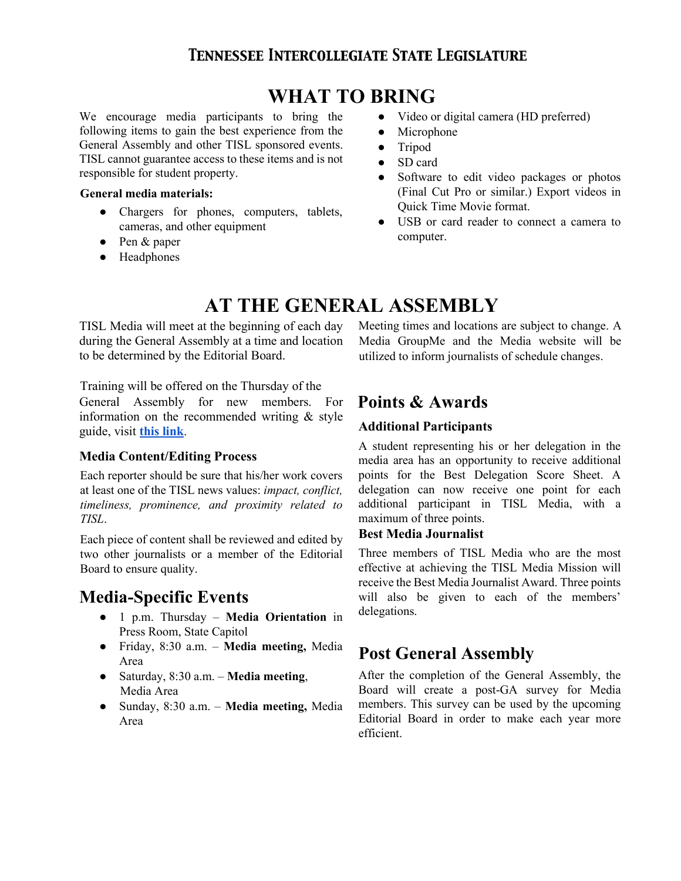## **TENNESSEE INTERCOLLEGIATE STATE LEGISLATURE**

## **WHAT TO BRING**

We encourage media participants to bring the following items to gain the best experience from the General Assembly and other TISL sponsored events. TISL cannot guarantee access to these items and is not responsible for student property.

#### **General media materials:**

- Chargers for phones, computers, tablets, cameras, and other equipment
- Pen & paper
- Headphones
- Video or digital camera (HD preferred)
- Microphone
- Tripod
- SD card
- Software to edit video packages or photos (Final Cut Pro or similar.) Export videos in Quick Time Movie format.
- USB or card reader to connect a camera to computer.

# **AT THE GENERAL ASSEMBLY**

TISL Media will meet at the beginning of each day during the General Assembly at a time and location to be determined by the Editorial Board.

Training will be offered on the Thursday of the

General Assembly for new members. For information on the recommended writing & style guide, visi[t](https://d799829d-9a05-43d7-a613-537945ca10f9.filesusr.com/ugd/855a3b_d171c92e09ab4bda9b5c27980aa61e41.pdf) **[this link](https://d799829d-9a05-43d7-a613-537945ca10f9.filesusr.com/ugd/855a3b_d171c92e09ab4bda9b5c27980aa61e41.pdf)**[.](https://d799829d-9a05-43d7-a613-537945ca10f9.filesusr.com/ugd/855a3b_d171c92e09ab4bda9b5c27980aa61e41.pdf)

### **Media Content/Editing Process**

Each reporter should be sure that his/her work covers at least one of the TISL news values: *impact, conflict, timeliness, prominence, and proximity related to TISL*.

Each piece of content shall be reviewed and edited by two other journalists or a member of the Editorial Board to ensure quality.

## **Media-Specific Events**

- 1 p.m. Thursday **Media Orientation** in Press Room, State Capitol
- Friday, 8:30 a.m. **Media meeting,** Media Area
- Saturday, 8:30 a.m. **Media meeting**, Media Area
- Sunday, 8:30 a.m. **Media meeting,** Media Area

Meeting times and locations are subject to change. A Media GroupMe and the Media website will be utilized to inform journalists of schedule changes.

## **Points & Awards**

### **Additional Participants**

A student representing his or her delegation in the media area has an opportunity to receive additional points for the Best Delegation Score Sheet. A delegation can now receive one point for each additional participant in TISL Media, with a maximum of three points.

### **Best Media Journalist**

Three members of TISL Media who are the most effective at achieving the TISL Media Mission will receive the Best Media Journalist Award. Three points will also be given to each of the members' delegations.

## **Post General Assembly**

After the completion of the General Assembly, the Board will create a post-GA survey for Media members. This survey can be used by the upcoming Editorial Board in order to make each year more efficient.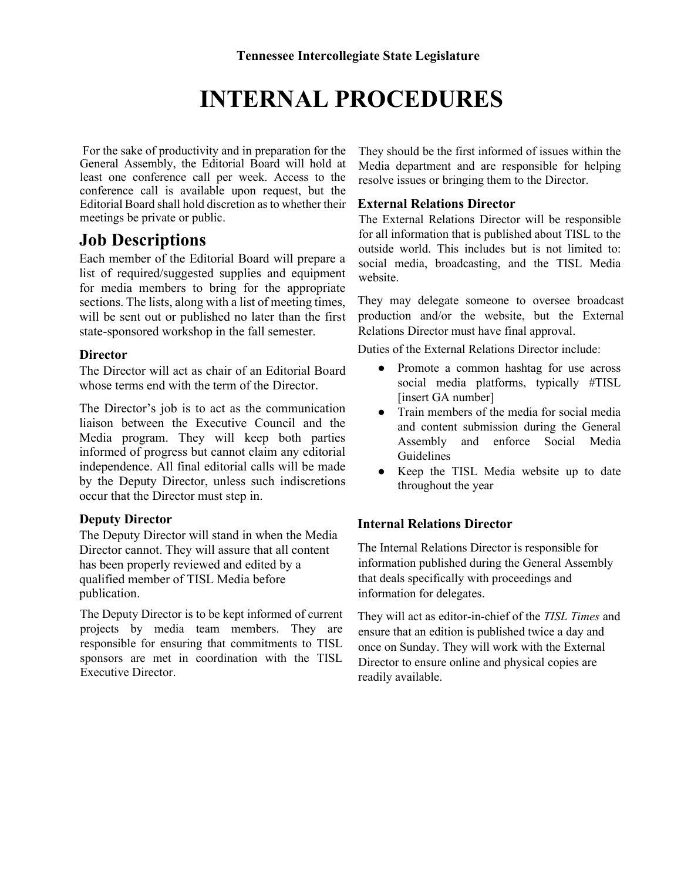# **INTERNAL PROCEDURES**

For the sake of productivity and in preparation for the General Assembly, the Editorial Board will hold at least one conference call per week. Access to the conference call is available upon request, but the Editorial Board shall hold discretion as to whether their meetings be private or public.

## **Job Descriptions**

Each member of the Editorial Board will prepare a list of required/suggested supplies and equipment for media members to bring for the appropriate sections. The lists, along with a list of meeting times, will be sent out or published no later than the first state-sponsored workshop in the fall semester.

### **Director**

The Director will act as chair of an Editorial Board whose terms end with the term of the Director.

The Director's job is to act as the communication liaison between the Executive Council and the Media program. They will keep both parties informed of progress but cannot claim any editorial independence. All final editorial calls will be made by the Deputy Director, unless such indiscretions occur that the Director must step in.

### **Deputy Director**

The Deputy Director will stand in when the Media Director cannot. They will assure that all content has been properly reviewed and edited by a qualified member of TISL Media before publication.

The Deputy Director is to be kept informed of current projects by media team members. They are responsible for ensuring that commitments to TISL sponsors are met in coordination with the TISL Executive Director.

They should be the first informed of issues within the Media department and are responsible for helping resolve issues or bringing them to the Director.

### **External Relations Director**

The External Relations Director will be responsible for all information that is published about TISL to the outside world. This includes but is not limited to: social media, broadcasting, and the TISL Media website.

They may delegate someone to oversee broadcast production and/or the website, but the External Relations Director must have final approval.

Duties of the External Relations Director include:

- Promote a common hashtag for use across social media platforms, typically #TISL [insert GA number]
- Train members of the media for social media and content submission during the General Assembly and enforce Social Media Guidelines
- Keep the TISL Media website up to date throughout the year

### **Internal Relations Director**

The Internal Relations Director is responsible for information published during the General Assembly that deals specifically with proceedings and information for delegates.

They will act as editor-in-chief of the *TISL Times* and ensure that an edition is published twice a day and once on Sunday. They will work with the External Director to ensure online and physical copies are readily available.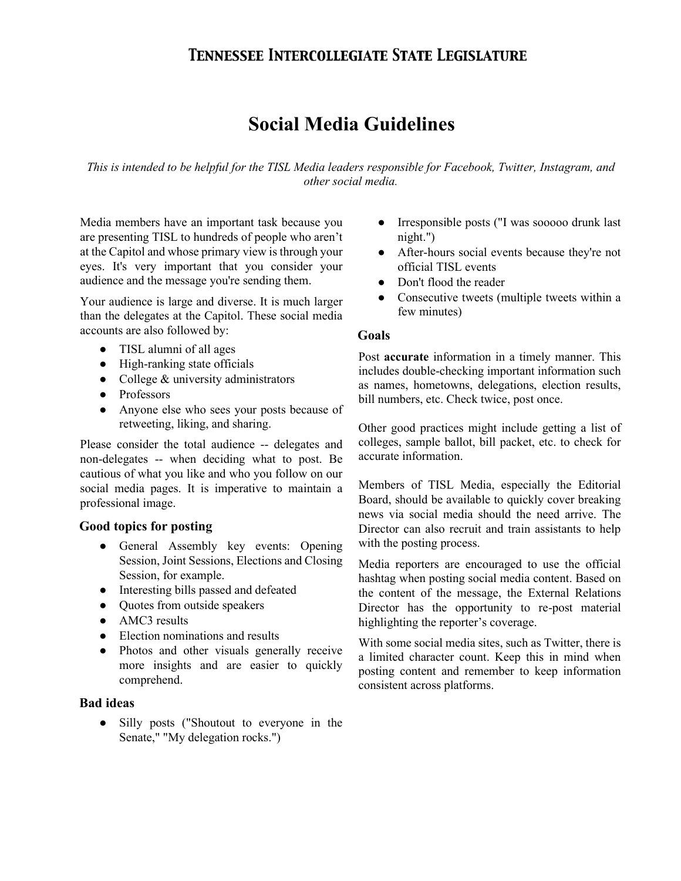## **TENNESSEE INTERCOLLEGIATE STATE LEGISLATURE**

## **Social Media Guidelines**

*This is intended to be helpful for the TISL Media leaders responsible for Facebook, Twitter, Instagram, and other social media.*

Media members have an important task because you are presenting TISL to hundreds of people who aren't at the Capitol and whose primary view is through your eyes. It's very important that you consider your audience and the message you're sending them.

Your audience is large and diverse. It is much larger than the delegates at the Capitol. These social media accounts are also followed by:

- TISL alumni of all ages
- High-ranking state officials
- College & university administrators
- Professors
- Anyone else who sees your posts because of retweeting, liking, and sharing.

Please consider the total audience -- delegates and non-delegates -- when deciding what to post. Be cautious of what you like and who you follow on our social media pages. It is imperative to maintain a professional image.

### **Good topics for posting**

- General Assembly key events: Opening Session, Joint Sessions, Elections and Closing Session, for example.
- Interesting bills passed and defeated
- Quotes from outside speakers
- AMC3 results
- Election nominations and results
- Photos and other visuals generally receive more insights and are easier to quickly comprehend.

### **Bad ideas**

● Silly posts ("Shoutout to everyone in the Senate," "My delegation rocks.")

- Irresponsible posts ("I was sooooo drunk last night.")
- After-hours social events because they're not official TISL events
- Don't flood the reader
- Consecutive tweets (multiple tweets within a few minutes)

#### **Goals**

Post **accurate** information in a timely manner. This includes double-checking important information such as names, hometowns, delegations, election results, bill numbers, etc. Check twice, post once.

Other good practices might include getting a list of colleges, sample ballot, bill packet, etc. to check for accurate information.

Members of TISL Media, especially the Editorial Board, should be available to quickly cover breaking news via social media should the need arrive. The Director can also recruit and train assistants to help with the posting process.

Media reporters are encouraged to use the official hashtag when posting social media content. Based on the content of the message, the External Relations Director has the opportunity to re-post material highlighting the reporter's coverage.

With some social media sites, such as Twitter, there is a limited character count. Keep this in mind when posting content and remember to keep information consistent across platforms.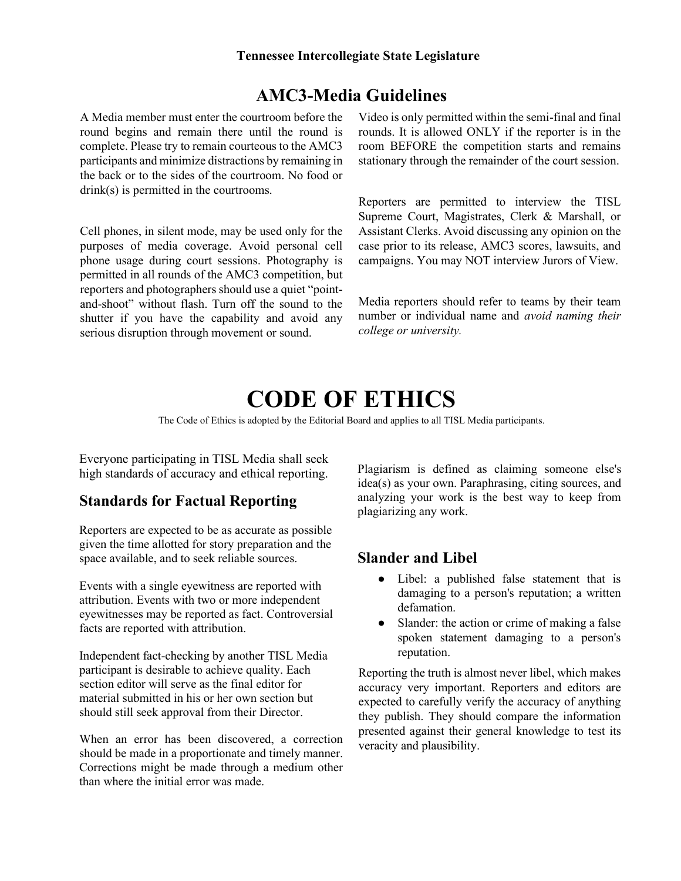## **AMC3-Media Guidelines**

A Media member must enter the courtroom before the round begins and remain there until the round is complete. Please try to remain courteous to the AMC3 participants and minimize distractions by remaining in the back or to the sides of the courtroom. No food or drink(s) is permitted in the courtrooms.

Cell phones, in silent mode, may be used only for the purposes of media coverage. Avoid personal cell phone usage during court sessions. Photography is permitted in all rounds of the AMC3 competition, but reporters and photographers should use a quiet "pointand-shoot" without flash. Turn off the sound to the shutter if you have the capability and avoid any serious disruption through movement or sound.

Video is only permitted within the semi-final and final rounds. It is allowed ONLY if the reporter is in the room BEFORE the competition starts and remains stationary through the remainder of the court session.

Reporters are permitted to interview the TISL Supreme Court, Magistrates, Clerk & Marshall, or Assistant Clerks. Avoid discussing any opinion on the case prior to its release, AMC3 scores, lawsuits, and campaigns. You may NOT interview Jurors of View.

Media reporters should refer to teams by their team number or individual name and *avoid naming their college or university.* 

# **CODE OF ETHICS**

The Code of Ethics is adopted by the Editorial Board and applies to all TISL Media participants.

Everyone participating in TISL Media shall seek high standards of accuracy and ethical reporting.

## **Standards for Factual Reporting**

Reporters are expected to be as accurate as possible given the time allotted for story preparation and the space available, and to seek reliable sources.

Events with a single eyewitness are reported with attribution. Events with two or more independent eyewitnesses may be reported as fact. Controversial facts are reported with attribution.

Independent fact-checking by another TISL Media participant is desirable to achieve quality. Each section editor will serve as the final editor for material submitted in his or her own section but should still seek approval from their Director.

When an error has been discovered, a correction should be made in a proportionate and timely manner. Corrections might be made through a medium other than where the initial error was made.

Plagiarism is defined as claiming someone else's idea(s) as your own. Paraphrasing, citing sources, and analyzing your work is the best way to keep from plagiarizing any work.

### **Slander and Libel**

- Libel: a published false statement that is damaging to a person's reputation; a written defamation.
- Slander: the action or crime of making a false spoken statement damaging to a person's reputation.

Reporting the truth is almost never libel, which makes accuracy very important. Reporters and editors are expected to carefully verify the accuracy of anything they publish. They should compare the information presented against their general knowledge to test its veracity and plausibility.